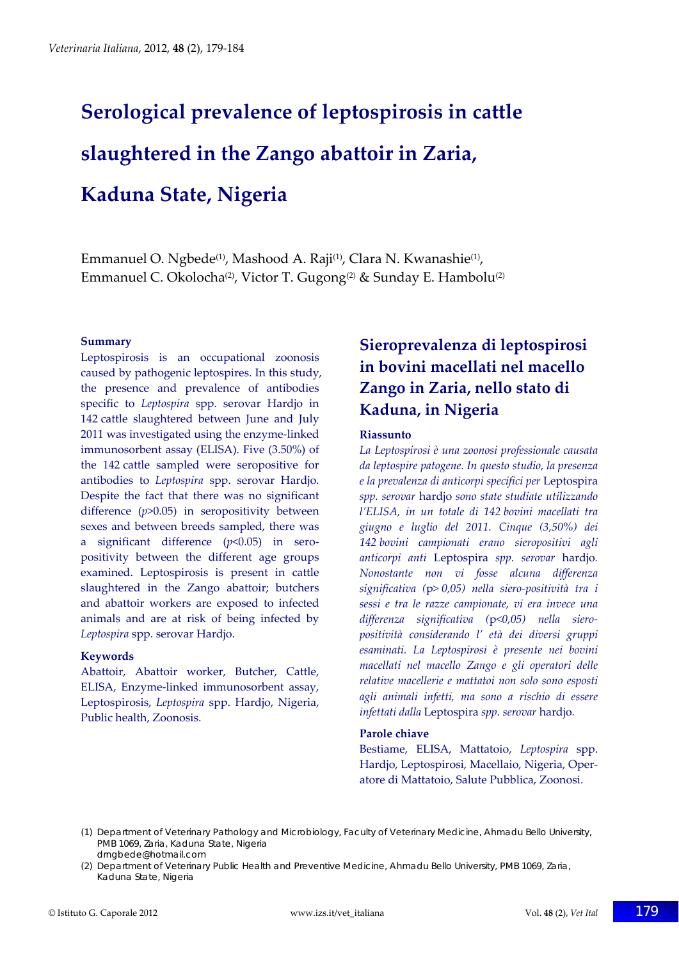# **Serological prevalence of leptospirosis in cattle slaughtered in the Zango abattoir in Zaria, Kaduna State, Nigeria**

Emmanuel O. Ngbede<sup>(1)</sup>, Mashood A. Raji<sup>(1)</sup>, Clara N. Kwanashie<sup>(1)</sup>, Emmanuel C. Okolocha<sup>(2)</sup>, Victor T. Gugong<sup>(2)</sup> & Sunday E. Hambolu<sup>(2)</sup>

#### **Summary**

Leptospirosis is an occupational zoonosis caused by pathogenic leptospires. In this study, the presence and prevalence of antibodies specific to *Leptospira* spp. serovar Hardjo in 142 cattle slaughtered between June and July 2011 was investigated using the enzyme‐linked immunosorbent assay (ELISA). Five (3.50%) of the 142 cattle sampled were seropositive for antibodies to *Leptospira* spp. serovar Hardjo. Despite the fact that there was no significant difference (*p*>0.05) in seropositivity between sexes and between breeds sampled, there was a significant difference (*p*<0.05) in sero‐ positivity between the different age groups examined. Leptospirosis is present in cattle slaughtered in the Zango abattoir; butchers and abattoir workers are exposed to infected animals and are at risk of being infected by *Leptospira* spp. serovar Hardjo.

### **Keywords**

Abattoir, Abattoir worker, Butcher, Cattle, ELISA, Enzyme‐linked immunosorbent assay, Leptospirosis, *Leptospira* spp. Hardjo, Nigeria, Public health, Zoonosis.

# **Sieroprevalenza di leptospirosi in bovini macellati nel macello Zango in Zaria, nello stato di Kaduna, in Nigeria**

### **Riassunto**

*La Leptospirosi è una zoonosi professionale causata da leptospire patogene. In questo studio, la presenza e la prevalenza di anticorpi specifici per* Leptospira *spp. serovar* hardjo *sono state studiate utilizzando l'ELISA, in un totale di 142 bovini macellati tra giugno e luglio del 2011. Cinque (3,50%) dei 142 bovini campionati erano sieropositivi agli anticorpi anti* Leptospira *spp. serovar* hardjo*. Nonostante non vi fosse alcuna differenza significativa (*p*> 0,05) nella siero‐positività tra i sessi e tra le razze campionate, vi era invece una differenza significativa (*p*<0,05) nella siero‐ positività considerando l' età dei diversi gruppi esaminati. La Leptospirosi è presente nei bovini macellati nel macello Zango e gli operatori delle relative macellerie e mattatoi non solo sono esposti agli animali infetti, ma sono a rischio di essere infettati dalla* Leptospira *spp. serovar* hardjo*.*

### **Parole chiave**

Bestiame, ELISA, Mattatoio, *Leptospira* spp. Hardjo, Leptospirosi, Macellaio, Nigeria, Oper‐ atore di Mattatoio, Salute Pubblica, Zoonosi.

(1) Department of Veterinary Pathology and Microbiology, Faculty of Veterinary Medicine, Ahmadu Bello University, PMB 1069, Zaria, Kaduna State, Nigeria drngbede@hotmail.com

(2) Department of Veterinary Public Health and Preventive Medicine, Ahmadu Bello University, PMB 1069, Zaria, Kaduna State, Nigeria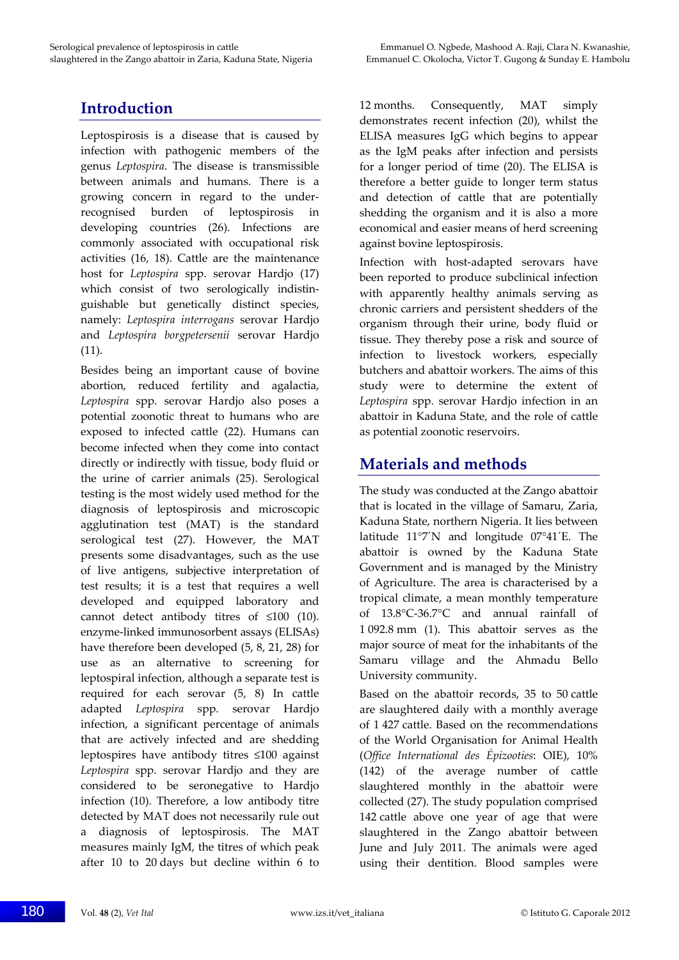# **Introduction**

Leptospirosis is a disease that is caused by infection with pathogenic members of the genus *Leptospira*. The disease is transmissible between animals and humans. There is a growing concern in regard to the under‐ recognised burden of leptospirosis in developing countries (26). Infections are commonly associated with occupational risk activities (16, 18). Cattle are the maintenance host for *Leptospira* spp. serovar Hardjo (17) which consist of two serologically indistinguishable but genetically distinct species, namely: *Leptospira interrogans* serovar Hardjo and *Leptospira borgpetersenii* serovar Hardjo (11).

Besides being an important cause of bovine abortion, reduced fertility and agalactia, *Leptospira* spp. serovar Hardjo also poses a potential zoonotic threat to humans who are exposed to infected cattle (22). Humans can become infected when they come into contact directly or indirectly with tissue, body fluid or the urine of carrier animals (25). Serological testing is the most widely used method for the diagnosis of leptospirosis and microscopic agglutination test (MAT) is the standard serological test (27). However, the MAT presents some disadvantages, such as the use of live antigens, subjective interpretation of test results; it is a test that requires a well developed and equipped laboratory and cannot detect antibody titres of  $\leq 100$  (10). enzyme‐linked immunosorbent assays (ELISAs) have therefore been developed (5, 8, 21, 28) for use as an alternative to screening for leptospiral infection, although a separate test is required for each serovar (5, 8) In cattle adapted *Leptospira* spp. serovar Hardjo infection, a significant percentage of animals that are actively infected and are shedding leptospires have antibody titres ≤100 against *Leptospira* spp. serovar Hardjo and they are considered to be seronegative to Hardjo infection (10). Therefore, a low antibody titre detected by MAT does not necessarily rule out a diagnosis of leptospirosis. The MAT measures mainly IgM, the titres of which peak after 10 to 20 days but decline within 6 to

12 months. Consequently, MAT simply demonstrates recent infection (20), whilst the ELISA measures IgG which begins to appear as the IgM peaks after infection and persists for a longer period of time (20). The ELISA is therefore a better guide to longer term status and detection of cattle that are potentially shedding the organism and it is also a more economical and easier means of herd screening against bovine leptospirosis.

Infection with host-adapted serovars have been reported to produce subclinical infection with apparently healthy animals serving as chronic carriers and persistent shedders of the organism through their urine, body fluid or tissue. They thereby pose a risk and source of infection to livestock workers, especially butchers and abattoir workers. The aims of this study were to determine the extent of *Leptospira* spp. serovar Hardjo infection in an abattoir in Kaduna State, and the role of cattle as potential zoonotic reservoirs.

## **Materials and methods**

The study was conducted at the Zango abattoir that is located in the village of Samaru, Zaria, Kaduna State, northern Nigeria. It lies between latitude 11°7´N and longitude 07°41´E. The abattoir is owned by the Kaduna State Government and is managed by the Ministry of Agriculture. The area is characterised by a tropical climate, a mean monthly temperature of 13.8°C‐36.7°C and annual rainfall of 1 092.8 mm (1). This abattoir serves as the major source of meat for the inhabitants of the Samaru village and the Ahmadu Bello University community.

Based on the abattoir records, 35 to 50 cattle are slaughtered daily with a monthly average of 1 427 cattle. Based on the recommendations of the World Organisation for Animal Health (*Office International des Épizooties*: OIE), 10% (142) of the average number of cattle slaughtered monthly in the abattoir were collected (27). The study population comprised 142 cattle above one year of age that were slaughtered in the Zango abattoir between June and July 2011. The animals were aged using their dentition. Blood samples were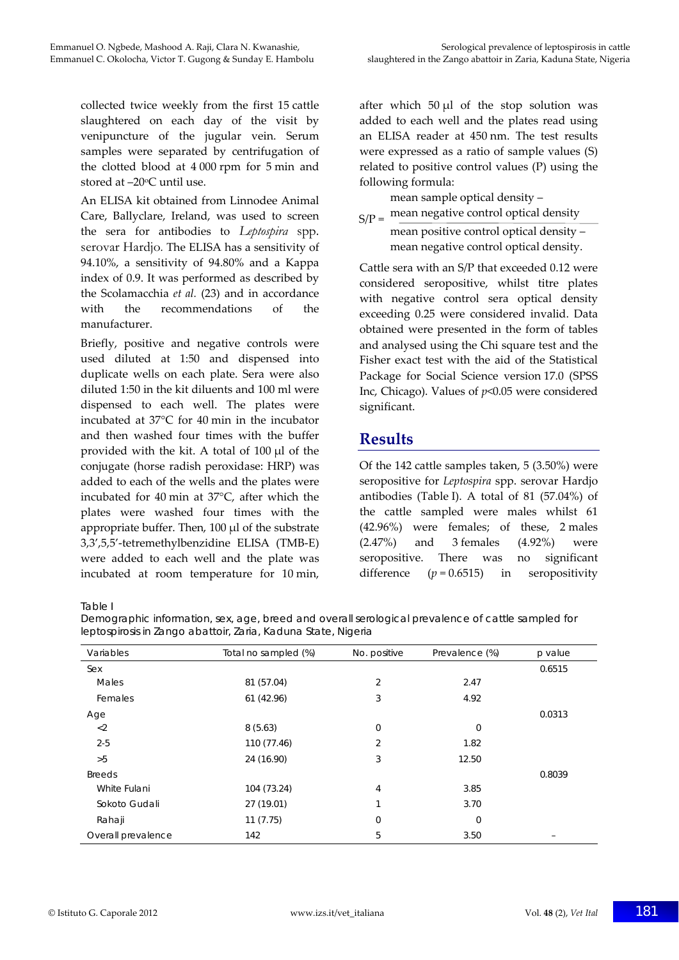collected twice weekly from the first 15 cattle slaughtered on each day of the visit by venipuncture of the jugular vein. Serum samples were separated by centrifugation of the clotted blood at 4 000 rpm for 5 min and stored at -20°C until use.

An ELISA kit obtained from Linnodee Animal Care, Ballyclare, Ireland, was used to screen the sera for antibodies to *Leptospira* spp. serovar Hardjo*.* The ELISA has a sensitivity of 94.10%, a sensitivity of 94.80% and a Kappa index of 0.9. It was performed as described by the Scolamacchia *et al.* (23) and in accordance with the recommendations of the manufacturer.

Briefly, positive and negative controls were used diluted at 1:50 and dispensed into duplicate wells on each plate. Sera were also diluted 1:50 in the kit diluents and 100 ml were dispensed to each well. The plates were incubated at 37°C for 40 min in the incubator and then washed four times with the buffer provided with the kit. A total of 100 μl of the conjugate (horse radish peroxidase: HRP) was added to each of the wells and the plates were incubated for 40 min at 37°C, after which the plates were washed four times with the appropriate buffer. Then, 100 μl of the substrate 3,3',5,5'‐tetremethylbenzidine ELISA (TMB‐E) were added to each well and the plate was incubated at room temperature for 10 min,

after which 50 μl of the stop solution was added to each well and the plates read using an ELISA reader at 450 nm. The test results were expressed as a ratio of sample values (S) related to positive control values (P) using the following formula:

mean sample optical density –

 $S/P =$  mean negative control optical density mean positive control optical density – mean negative control optical density.

Cattle sera with an S/P that exceeded 0.12 were considered seropositive, whilst titre plates with negative control sera optical density exceeding 0.25 were considered invalid. Data obtained were presented in the form of tables and analysed using the Chi square test and the Fisher exact test with the aid of the Statistical Package for Social Science version 17.0 (SPSS Inc, Chicago). Values of *p*<0.05 were considered significant.

## **Results**

Of the 142 cattle samples taken, 5 (3.50%) were seropositive for *Leptospira* spp. serovar Hardjo antibodies (Table I). A total of 81 (57.04%) of the cattle sampled were males whilst 61 (42.96%) were females; of these, 2 males (2.47%) and 3 females (4.92%) were seropositive. There was no significant difference  $(p = 0.6515)$  in seropositivity

Table I

| Demographic information, sex, age, breed and overall serological prevalence of cattle sampled for |
|---------------------------------------------------------------------------------------------------|
| leptospirosis in Zango abattoir, Zaria, Kaduna State, Nigeria                                     |

| Variables          | Total no sampled (%) | No. positive | Prevalence (%) | $p$ value |
|--------------------|----------------------|--------------|----------------|-----------|
| Sex                |                      |              |                | 0.6515    |
| Males              | 81 (57.04)           | 2            | 2.47           |           |
| Females            | 61 (42.96)           | 3            | 4.92           |           |
| Age                |                      |              |                | 0.0313    |
| $<$ 2              | 8(5.63)              | $\mathbf 0$  | $\mathbf 0$    |           |
| $2 - 5$            | 110 (77.46)          | 2            | 1.82           |           |
| >5                 | 24 (16.90)           | 3            | 12.50          |           |
| <b>Breeds</b>      |                      |              |                | 0.8039    |
| White Fulani       | 104 (73.24)          | 4            | 3.85           |           |
| Sokoto Gudali      | 27 (19.01)           |              | 3.70           |           |
| Rahaji             | 11(7.75)             | $\mathbf 0$  | $\mathbf 0$    |           |
| Overall prevalence | 142                  | 5            | 3.50           |           |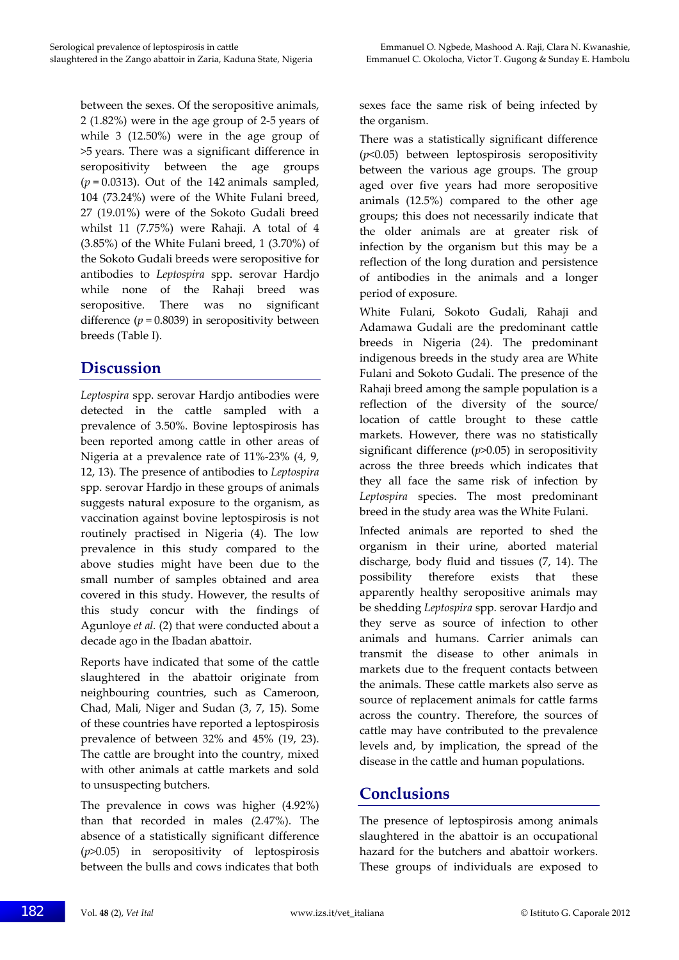between the sexes. Of the seropositive animals, 2 (1.82%) were in the age group of 2‐5 years of while 3 (12.50%) were in the age group of >5 years. There was a significant difference in seropositivity between the age groups  $(p = 0.0313)$ . Out of the 142 animals sampled, 104 (73.24%) were of the White Fulani breed, 27 (19.01%) were of the Sokoto Gudali breed whilst 11 (7.75%) were Rahaji. A total of 4  $(3.85\%)$  of the White Fulani breed, 1  $(3.70\%)$  of the Sokoto Gudali breeds were seropositive for antibodies to *Leptospira* spp. serovar Hardjo while none of the Rahaji breed was seropositive. There was no significant difference  $(p = 0.8039)$  in seropositivity between breeds (Table I).

## **Discussion**

*Leptospira* spp. serovar Hardjo antibodies were detected in the cattle sampled with a prevalence of 3.50%. Bovine leptospirosis has been reported among cattle in other areas of Nigeria at a prevalence rate of 11%‐23% (4, 9, 12, 13). The presence of antibodies to *Leptospira* spp. serovar Hardjo in these groups of animals suggests natural exposure to the organism, as vaccination against bovine leptospirosis is not routinely practised in Nigeria (4). The low prevalence in this study compared to the above studies might have been due to the small number of samples obtained and area covered in this study. However, the results of this study concur with the findings of Agunloye *et al.* (2) that were conducted about a decade ago in the Ibadan abattoir.

Reports have indicated that some of the cattle slaughtered in the abattoir originate from neighbouring countries, such as Cameroon, Chad, Mali, Niger and Sudan (3, 7, 15). Some of these countries have reported a leptospirosis prevalence of between 32% and 45% (19, 23). The cattle are brought into the country, mixed with other animals at cattle markets and sold to unsuspecting butchers.

The prevalence in cows was higher (4.92%) than that recorded in males (2.47%). The absence of a statistically significant difference (*p*>0.05) in seropositivity of leptospirosis between the bulls and cows indicates that both

sexes face the same risk of being infected by the organism.

There was a statistically significant difference (*p*<0.05) between leptospirosis seropositivity between the various age groups. The group aged over five years had more seropositive animals (12.5%) compared to the other age groups; this does not necessarily indicate that the older animals are at greater risk of infection by the organism but this may be a reflection of the long duration and persistence of antibodies in the animals and a longer period of exposure.

White Fulani, Sokoto Gudali, Rahaji and Adamawa Gudali are the predominant cattle breeds in Nigeria (24). The predominant indigenous breeds in the study area are White Fulani and Sokoto Gudali. The presence of the Rahaji breed among the sample population is a reflection of the diversity of the source/ location of cattle brought to these cattle markets. However, there was no statistically significant difference (*p*>0.05) in seropositivity across the three breeds which indicates that they all face the same risk of infection by *Leptospira* species. The most predominant breed in the study area was the White Fulani.

Infected animals are reported to shed the organism in their urine, aborted material discharge, body fluid and tissues (7, 14). The possibility therefore exists that these apparently healthy seropositive animals may be shedding *Leptospira* spp. serovar Hardjo and they serve as source of infection to other animals and humans. Carrier animals can transmit the disease to other animals in markets due to the frequent contacts between the animals. These cattle markets also serve as source of replacement animals for cattle farms across the country. Therefore, the sources of cattle may have contributed to the prevalence levels and, by implication, the spread of the disease in the cattle and human populations.

## **Conclusions**

The presence of leptospirosis among animals slaughtered in the abattoir is an occupational hazard for the butchers and abattoir workers. These groups of individuals are exposed to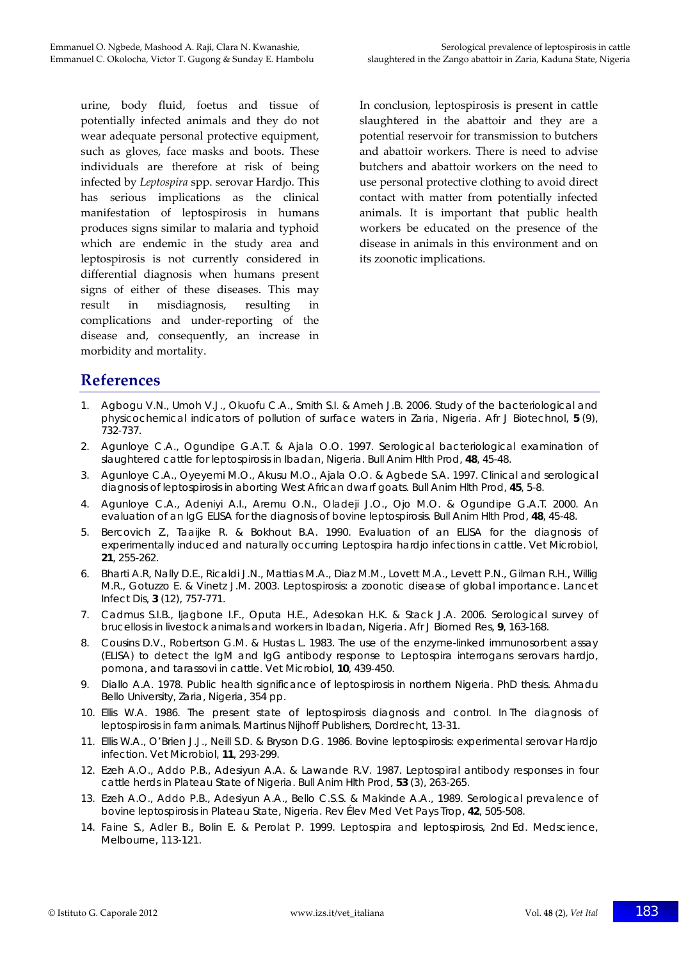urine, body fluid, foetus and tissue of potentially infected animals and they do not wear adequate personal protective equipment, such as gloves, face masks and boots. These individuals are therefore at risk of being infected by *Leptospira* spp. serovar Hardjo. This has serious implications as the clinical manifestation of leptospirosis in humans produces signs similar to malaria and typhoid which are endemic in the study area and leptospirosis is not currently considered in differential diagnosis when humans present signs of either of these diseases. This may result in misdiagnosis, resulting in complications and under‐reporting of the disease and, consequently, an increase in morbidity and mortality.

In conclusion, leptospirosis is present in cattle slaughtered in the abattoir and they are a potential reservoir for transmission to butchers and abattoir workers. There is need to advise butchers and abattoir workers on the need to use personal protective clothing to avoid direct contact with matter from potentially infected animals. It is important that public health workers be educated on the presence of the disease in animals in this environment and on its zoonotic implications.

# **References**

- 1. Agbogu V.N., Umoh V.J., Okuofu C.A., Smith S.I. & Ameh J.B. 2006. Study of the bacteriological and physicochemical indicators of pollution of surface waters in Zaria, Nigeria. *Afr J Biotechnol*, **5** (9), 732-737.
- 2. Agunloye C.A., Ogundipe G.A.T. & Ajala O.O. 1997. Serological bacteriological examination of slaughtered cattle for leptospirosis in Ibadan, Nigeria. *Bull Anim Hlth Prod*, **48**, 45-48.
- 3. Agunloye C.A., Oyeyemi M.O., Akusu M.O., Ajala O.O. & Agbede S.A. 1997. Clinical and serological diagnosis of leptospirosis in aborting West African dwarf goats. *Bull Anim Hlth Prod*, **45**, 5-8.
- 4. Agunloye C.A., Adeniyi A.I., Aremu O.N., Oladeji J.O., Ojo M.O. & Ogundipe G.A.T. 2000. An evaluation of an IgG ELISA for the diagnosis of bovine leptospirosis. *Bull Anim Hlth Prod*, **48**, 45-48.
- 5. Bercovich Z., Taaijke R. & Bokhout B.A. 1990. Evaluation of an ELISA for the diagnosis of experimentally induced and naturally occurring *Leptospira hardjo* infections in cattle. *Vet Microbiol*, **21**, 255-262.
- 6. Bharti A.R, Nally D.E., Ricaldi J.N., Mattias M.A., Diaz M.M., Lovett M.A., Levett P.N., Gilman R.H., Willig M.R., Gotuzzo E. & Vinetz J.M. 2003. Leptospirosis: a zoonotic disease of global importance. *Lancet Infect Dis*, **3** (12), 757-771.
- 7. Cadmus S.I.B., Ijagbone I.F., Oputa H.E., Adesokan H.K. & Stack J.A. 2006. Serological survey of brucellosis in livestock animals and workers in Ibadan, Nigeria. *Afr J Biomed Res*, **9**, 163-168.
- 8. Cousins D.V., Robertson G.M. & Hustas L. 1983. The use of the enzyme-linked immunosorbent assay (ELISA) to detect the IgM and IgG antibody response to *Leptospira interrogans* serovars *hardjo*, *pomona*, and *tarassovi* in cattle. *Vet Microbiol*, **10**, 439-450.
- 9. Diallo A.A. 1978. Public health significance of leptospirosis in northern Nigeria. PhD thesis. Ahmadu Bello University, Zaria, Nigeria, 354 pp.
- 10. Ellis W.A. 1986. The present state of leptospirosis diagnosis and control. *In* The diagnosis of leptospirosis in farm animals. Martinus Nijhoff Publishers, Dordrecht, 13-31.
- 11. Ellis W.A., O'Brien J.J., Neill S.D. & Bryson D.G. 1986. Bovine leptospirosis: experimental serovar *Hardjo* infection. *Vet Microbiol*, **11**, 293-299.
- 12. Ezeh A.O., Addo P.B., Adesiyun A.A. & Lawande R.V. 1987. Leptospiral antibody responses in four cattle herds in Plateau State of Nigeria. *Bull Anim Hlth Prod*, **53** (3), 263-265.
- 13. Ezeh A.O., Addo P.B., Adesiyun A.A., Bello C.S.S. & Makinde A.A., 1989. Serological prevalence of bovine leptospirosis in Plateau State, Nigeria*. Rev Élev Med Vet Pays Trop*, **42**, 505-508.
- 14. Faine S., Adler B., Bolin E. & Perolat P. 1999. Leptospira and leptospirosis, 2nd Ed. Medscience, Melbourne, 113-121.